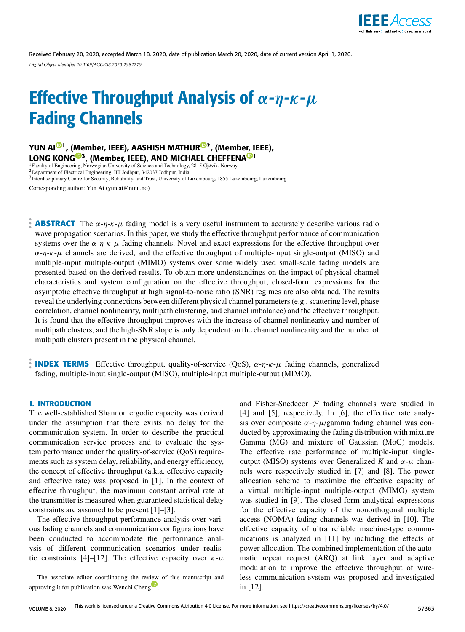

Received February 20, 2020, accepted March 18, 2020, date of publication March 20, 2020, date of current version April 1, 2020. *Digital Object Identifier 10.1109/ACCESS.2020.2982279*

# Effective Throughput Analysis of  $\alpha$ - $\eta$ - $\kappa$ - $\mu$ Fading Channels

YUN AI<sup>©1</sup>, (Member, IEEE), AASHISH MATHUR<sup>©2</sup>, (Member, IEEE), LONG KONG<sup>®3</sup>, (Member, IEEE), AND MICHAEL CHEFFENA<sup>®1</sup> <sup>1</sup>Faculty of Engineering, Norwegian University of Science and Technology, 2815 Gjøvik, Norway <sup>2</sup>Department of Electrical Engineering, IIT Jodhpur, 342037 Jodhpur, India

<sup>3</sup> Interdisciplinary Centre for Security, Reliability, and Trust, University of Luxembourg, 1855 Luxembourg, Luxembourg

Corresponding author: Yun Ai (yun.ai@ntnu.no)

**ABSTRACT** The  $\alpha$ -η-κ-μ fading model is a very useful instrument to accurately describe various radio wave propagation scenarios. In this paper, we study the effective throughput performance of communication systems over the  $\alpha$ -η-κ-μ fading channels. Novel and exact expressions for the effective throughput over  $\alpha$ -η-κ-μ channels are derived, and the effective throughput of multiple-input single-output (MISO) and multiple-input multiple-output (MIMO) systems over some widely used small-scale fading models are presented based on the derived results. To obtain more understandings on the impact of physical channel characteristics and system configuration on the effective throughput, closed-form expressions for the asymptotic effective throughput at high signal-to-noise ratio (SNR) regimes are also obtained. The results reveal the underlying connections between different physical channel parameters (e.g., scattering level, phase correlation, channel nonlinearity, multipath clustering, and channel imbalance) and the effective throughput. It is found that the effective throughput improves with the increase of channel nonlinearity and number of multipath clusters, and the high-SNR slope is only dependent on the channel nonlinearity and the number of multipath clusters present in the physical channel.

**INDEX TERMS** Effective throughput, quality-of-service (QoS),  $\alpha$ -η-κ-μ fading channels, generalized fading, multiple-input single-output (MISO), multiple-input multiple-output (MIMO).

# **I. INTRODUCTION**

The well-established Shannon ergodic capacity was derived under the assumption that there exists no delay for the communication system. In order to describe the practical communication service process and to evaluate the system performance under the quality-of-service (QoS) requirements such as system delay, reliability, and energy efficiency, the concept of effective throughput (a.k.a. effective capacity and effective rate) was proposed in [1]. In the context of effective throughput, the maximum constant arrival rate at the transmitter is measured when guaranteed statistical delay constraints are assumed to be present [1]–[3].

The effective throughput performance analysis over various fading channels and communication configurations have been conducted to accommodate the performance analysis of different communication scenarios under realistic constraints [4]–[12]. The effective capacity over  $\kappa$ - $\mu$ 

The associate editor coordinating the review of this manuscript and approving it for publication was Wenchi Cheng<sup>1</sup>.

and Fisher-Snedecor  $F$  fading channels were studied in [4] and [5], respectively. In [6], the effective rate analysis over composite  $\alpha$ -η- $\mu$ /gamma fading channel was conducted by approximating the fading distribution with mixture Gamma (MG) and mixture of Gaussian (MoG) models. The effective rate performance of multiple-input singleoutput (MISO) systems over Generalized *K* and  $α$ - $μ$  channels were respectively studied in [7] and [8]. The power allocation scheme to maximize the effective capacity of a virtual multiple-input multiple-output (MIMO) system was studied in [9]. The closed-form analytical expressions for the effective capacity of the nonorthogonal multiple access (NOMA) fading channels was derived in [10]. The effective capacity of ultra reliable machine-type communications is analyzed in [11] by including the effects of power allocation. The combined implementation of the automatic repeat request (ARQ) at link layer and adaptive modulation to improve the effective throughput of wireless communication system was proposed and investigated in [12].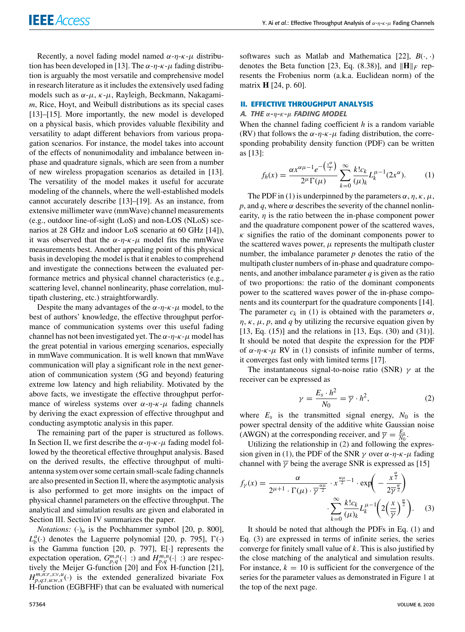Recently, a novel fading model named  $\alpha$ -η-κ- $\mu$  distribution has been developed in [13]. The  $\alpha$ - $\eta$ - $\kappa$ - $\mu$  fading distribution is arguably the most versatile and comprehensive model in research literature as it includes the extensively used fading models such as  $\alpha$ - $\mu$ ,  $\kappa$ - $\mu$ , Rayleigh, Beckmann, Nakagami*m*, Rice, Hoyt, and Weibull distributions as its special cases [13]–[15]. More importantly, the new model is developed on a physical basis, which provides valuable flexibility and versatility to adapt different behaviors from various propagation scenarios. For instance, the model takes into account of the effects of nonunimodality and imbalance between inphase and quadrature signals, which are seen from a number of new wireless propagation scenarios as detailed in [13]. The versatility of the model makes it useful for accurate modeling of the channels, where the well-established models cannot accurately describe [13]–[19]. As an instance, from extensive millimeter wave (mmWave) channel measurements (e.g., outdoor line-of-sight (LoS) and non-LOS (NLoS) scenarios at 28 GHz and indoor LoS scenario at 60 GHz [14]), it was observed that the  $\alpha$ - $n$ - $\kappa$ - $\mu$  model fits the mmWave measurements best. Another appealing point of this physical basis in developing the model is that it enables to comprehend and investigate the connections between the evaluated performance metrics and physical channel characteristics (e.g., scattering level, channel nonlinearity, phase correlation, multipath clustering, etc.) straightforwardly.

Despite the many advantages of the  $\alpha$ -η-κ- $\mu$  model, to the best of authors' knowledge, the effective throughput performance of communication systems over this useful fading channel has not been investigated yet. The  $\alpha$ - $\eta$ - $\kappa$ - $\mu$  model has the great potential in various emerging scenarios, especially in mmWave communication. It is well known that mmWave communication will play a significant role in the next generation of communication system (5G and beyond) featuring extreme low latency and high reliability. Motivated by the above facts, we investigate the effective throughput performance of wireless systems over  $\alpha$ -η-κ- $\mu$  fading channels by deriving the exact expression of effective throughput and conducting asymptotic analysis in this paper.

The remaining part of the paper is structured as follows. In Section II, we first describe the  $\alpha$ - $\eta$ - $\kappa$ - $\mu$  fading model followed by the theoretical effective throughput analysis. Based on the derived results, the effective throughput of multiantenna system over some certain small-scale fading channels are also presented in Section II, where the asymptotic analysis is also performed to get more insights on the impact of physical channel parameters on the effective throughput. The analytical and simulation results are given and elaborated in Section III. Section IV summarizes the paper.

*Notations:*  $(\cdot)_n$  is the Pochhammer symbol [20, p. 800],  $L_b^a(\cdot)$  denotes the Laguerre polynomial [20, p. 795],  $\Gamma(\cdot)$ is the Gamma function [20, p. 797], E[·] represents the expectation operation,  $G_{p,q}^{m,n}(\cdot | \cdot)$  and  $H_{p,q}^{m,n}(\cdot | \cdot)$  are respectively the Meijer G-function [20] and Fox H-function [21],  $H_{p,q:t,u:w,x}^{m,n;r,s:v,u}(\cdot)$  is the extended generalized bivariate Fox H-function (EGBFHF) that can be evaluated with numerical

softwares such as Matlab and Mathematica [22],  $B(\cdot, \cdot)$ denotes the Beta function [23, Eq. (8.38)], and  $\|\mathbf{H}\|_F$  represents the Frobenius norm (a.k.a. Euclidean norm) of the matrix **H** [24, p. 60].

#### **II. EFFECTIVE THROUGHPUT ANALYSIS**

# A. THE  $α$ -η-κ-μ FADING MODEL

When the channel fading coefficient *h* is a random variable (RV) that follows the  $\alpha$ -η-κ- $\mu$  fading distribution, the corresponding probability density function (PDF) can be written as [13]:

$$
f_h(x) = \frac{\alpha x^{\alpha \mu - 1} e^{-\left(\frac{x^{\alpha}}{2}\right)}}{2^{\mu} \Gamma(\mu)} \sum_{k=0}^{\infty} \frac{k! c_k}{(\mu)_k} L_k^{\mu - 1}(2x^{\alpha}).
$$
 (1)

The PDF in (1) is underpinned by the parameters  $\alpha$ ,  $\eta$ ,  $\kappa$ ,  $\mu$ , *p*, and *q*, where  $\alpha$  describes the severity of the channel nonlinearity,  $\eta$  is the ratio between the in-phase component power and the quadrature component power of the scattered waves,  $\kappa$  signifies the ratio of the dominant components power to the scattered waves power,  $\mu$  represents the multipath cluster number, the imbalance parameter *p* denotes the ratio of the multipath cluster numbers of in-phase and quadrature components, and another imbalance parameter *q* is given as the ratio of two proportions: the ratio of the dominant components power to the scattered waves power of the in-phase components and its counterpart for the quadrature components [14]. The parameter  $c_k$  in (1) is obtained with the parameters  $\alpha$ ,  $\eta$ ,  $\kappa$ ,  $\mu$ ,  $p$ , and  $q$  by utilizing the recursive equation given by [13, Eq. (15)] and the relations in [13, Eqs. (30) and (31)]. It should be noted that despite the expression for the PDF of α-η-κ-μ RV in (1) consists of infinite number of terms, it converges fast only with limited terms [17].

The instantaneous signal-to-noise ratio (SNR)  $\gamma$  at the receiver can be expressed as

$$
\gamma = \frac{E_s \cdot h^2}{N_0} = \overline{\gamma} \cdot h^2,\tag{2}
$$

where  $E_s$  is the transmitted signal energy,  $N_0$  is the power spectral density of the additive white Gaussian noise (AWGN) at the corresponding receiver, and  $\overline{\gamma} = \frac{E_s}{N_0}$ .

Utilizing the relationship in (2) and following the expression given in (1), the PDF of the SNR  $\gamma$  over  $\alpha$ - $\eta$ - $\kappa$ - $\mu$  fading channel with  $\bar{\gamma}$  being the average SNR is expressed as [15]

$$
f_Y(x) = \frac{\alpha}{2^{\mu+1} \cdot \Gamma(\mu) \cdot \overline{\gamma}^{\frac{\alpha \mu}{2}}} \cdot x^{\frac{\alpha \mu}{2}-1} \cdot \exp\left(-\frac{x^{\frac{\alpha}{2}}}{2\overline{\gamma}^{\frac{\alpha}{2}}}\right) \cdot \sum_{k=0}^{\infty} \frac{k! c_k}{(\mu)_k} L_k^{\mu-1}\left(2\left(\frac{x}{\overline{\gamma}}\right)^{\frac{\alpha}{2}}\right). \quad (3)
$$

It should be noted that although the PDFs in Eq. (1) and Eq. (3) are expressed in terms of infinite series, the series converge for finitely small value of *k*. This is also justified by the close matching of the analytical and simulation results. For instance,  $k = 10$  is sufficient for the convergence of the series for the parameter values as demonstrated in Figure 1 at the top of the next page.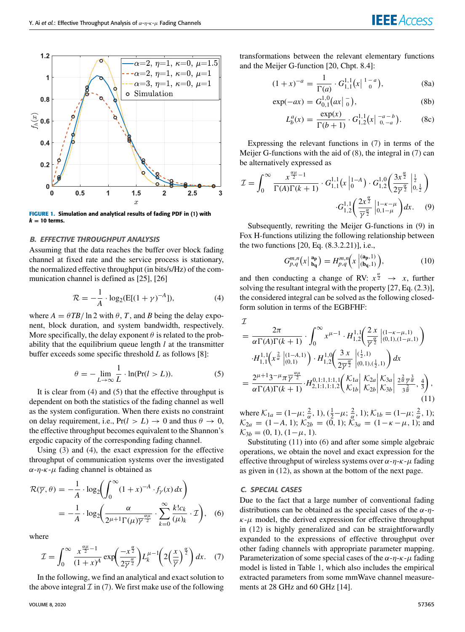

**FIGURE 1.** Simulation and analytical results of fading PDF in (1) with  $k = 10$  terms.

# B. EFFECTIVE THROUGHPUT ANALYSIS

Assuming that the data reaches the buffer over block fading channel at fixed rate and the service process is stationary, the normalized effective throughput (in bits/s/Hz) of the communication channel is defined as [25], [26]

$$
\mathcal{R} = -\frac{1}{A} \cdot \log_2(E[(1+\gamma)^{-A}]),\tag{4}
$$

where  $A = \theta T B / \ln 2$  with  $\theta$ , *T*, and *B* being the delay exponent, block duration, and system bandwidth, respectively. More specifically, the delay exponent  $\theta$  is related to the probability that the equilibrium queue length *l* at the transmitter buffer exceeds some specific threshold *L* as follows [8]:

$$
\theta = -\lim_{L \to \infty} \frac{1}{L} \cdot \ln(\Pr(l > L)). \tag{5}
$$

It is clear from (4) and (5) that the effective throughput is dependent on both the statistics of the fading channel as well as the system configuration. When there exists no constraint on delay requirement, i.e.,  $Pr(l > L) \rightarrow 0$  and thus  $\theta \rightarrow 0$ , the effective throughput becomes equivalent to the Shannon's ergodic capacity of the corresponding fading channel.

Using (3) and (4), the exact expression for the effective throughput of communication systems over the investigated  $\alpha$ -η-κ-μ fading channel is obtained as

$$
\mathcal{R}(\overline{\gamma}, \theta) = -\frac{1}{A} \cdot \log_2 \left( \int_0^\infty (1+x)^{-A} \cdot f_\gamma(x) dx \right)
$$
  
=  $-\frac{1}{A} \cdot \log_2 \left( \frac{\alpha}{2^{\mu+1} \Gamma(\mu) \overline{\gamma}^{\frac{\alpha \mu}{2}}} \cdot \sum_{k=0}^\infty \frac{k! c_k}{(\mu)_k} \cdot \mathcal{I} \right),$  (6)

where

$$
\mathcal{I} = \int_0^\infty \frac{x^{\frac{\alpha\mu}{2}-1}}{(1+x)^A} \exp\left(\frac{-x^{\frac{\alpha}{2}}}{2\overline{\gamma}^{\frac{\alpha}{2}}}\right) L_k^{\mu-1}\left(2\left(\frac{x}{\overline{\gamma}}\right)^{\frac{\alpha}{2}}\right) dx. \quad (7)
$$

In the following, we find an analytical and exact solution to the above integral  $\mathcal I$  in (7). We first make use of the following **IEEE** Access

transformations between the relevant elementary functions and the Meijer G-function [20, Chpt. 8.4]:

$$
(1+x)^{-a} = \frac{1}{\Gamma(a)} \cdot G_{1,1}^{1,1}(x | \, \frac{1-a}{0}), \tag{8a}
$$

$$
\exp(-ax) = G_{0,1}^{1,0}(\alpha x | \frac{1}{0}), \tag{8b}
$$

$$
L_b^a(x) = \frac{\exp(x)}{\Gamma(b+1)} \cdot G_{1,2}^{1,1}(x \mid \zeta_{0,-a}^{-a-b}).
$$
 (8c)

Expressing the relevant functions in (7) in terms of the Meijer G-functions with the aid of (8), the integral in (7) can be alternatively expressed as

$$
\mathcal{I} = \int_0^\infty \frac{x^{\frac{\alpha\mu}{2}-1}}{\Gamma(A)\Gamma(k+1)} \cdot G_{1,1}^{1,1}(x \mid_0^{1-A}) \cdot G_{1,2}^{1,0}\left(\frac{3x^{\frac{\alpha}{2}}}{2\overline{\gamma}^{\frac{\alpha}{2}}}\bigg|_{0,\frac{1}{2}}^{\frac{1}{2}}\right)
$$

$$
\cdot G_{1,2}^{1,1}\left(\frac{2x^{\frac{\alpha}{2}}}{\overline{\gamma}^{\frac{\alpha}{2}}}\bigg|_{0,1-\mu}^{1-\kappa-\mu}\right)dx. \tag{9}
$$

Subsequently, rewriting the Meijer G-functions in (9) in Fox H-functions utilizing the following relationship between the two functions [20, Eq. (8.3.2.21)], i.e.,

$$
G_{p,q}^{m,n}(x \,|\, \mathbf{a_p^{a}}) = H_{p,q}^{m,n}(x \,|\,mathbf{a_p, 1)}^{(\mathbf{a_p}, 1)}), \tag{10}
$$

and then conducting a change of RV:  $x^{\frac{\alpha}{2}} \rightarrow x$ , further solving the resultant integral with the property [27, Eq. (2.3)], the considered integral can be solved as the following closedform solution in terms of the EGBFHF:

$$
\begin{split}\n\mathcal{I} &= \frac{2\pi}{\alpha \Gamma(A)\Gamma(k+1)} \cdot \int_0^\infty x^{\mu-1} \cdot H_{1,2}^{1,1} \left( \frac{2 \, x}{\overline{\gamma}^{\frac{\alpha}{2}}} \right|_{(0,1),(1-\mu,1)}^{(1-\kappa-\mu,1)} \\
&\cdot H_{1,1}^{1,1} \left( x^{\frac{2}{\alpha}} \right|_{(0,1)}^{(1-A,1)} \right) \cdot H_{1,2}^{1,0} \left( \frac{3 \, x}{2\overline{\gamma}^{\frac{\alpha}{2}}} \right|_{(0,1),(1,\frac{1}{2},1)}^{(\frac{1}{2},1)} \right) dx \\
&= \frac{2^{\mu+1} 3^{-\mu} \pi \overline{\gamma}^{\frac{\alpha\mu}{2}}}{\alpha \Gamma(A)\Gamma(k+1)} \cdot H_{2,1:1,1:1,2}^{0,1:1,1:1,1} \left( \frac{K_{1a}}{K_{1b}} \right| \frac{K_{2a}}{K_{2b}} \right| \frac{K_{3a}}{K_{3b}} \right| \frac{2^{\frac{2}{\alpha}} \overline{\gamma}^{\frac{3}{\alpha}}}{3^{\frac{2}{\alpha}}}, \frac{4}{3} \right),\n\end{split} \tag{11}
$$

where  $\mathcal{K}_{1a} = (1 - \mu; \frac{2}{\alpha}, 1), (\frac{1}{2} - \mu; \frac{2}{\alpha}, 1); \mathcal{K}_{1b} = (1 - \mu; \frac{2}{\alpha}, 1);$  $\mathcal{K}_{2a} = (1-A, 1); \, \mathcal{K}_{2b} = (0, 1); \, \mathcal{K}_{3a} = (1-\kappa-\mu, 1);$  and  $\mathcal{K}_{3b} = (0, 1), (1-\mu, 1).$ 

Substituting (11) into (6) and after some simple algebraic operations, we obtain the novel and exact expression for the effective throughput of wireless systems over  $\alpha$ -η-κ- $\mu$  fading as given in (12), as shown at the bottom of the next page.

#### C. SPECIAL CASES

Due to the fact that a large number of conventional fading distributions can be obtained as the special cases of the  $\alpha$ - $\eta$ - $\kappa$ - $\mu$  model, the derived expression for effective throughput in (12) is highly generalized and can be straightforwardly expanded to the expressions of effective throughput over other fading channels with appropriate parameter mapping. Parameterization of some special cases of the  $\alpha$ - $\eta$ - $\kappa$ - $\mu$  fading model is listed in Table 1, which also includes the empirical extracted parameters from some mmWave channel measurements at 28 GHz and 60 GHz [14].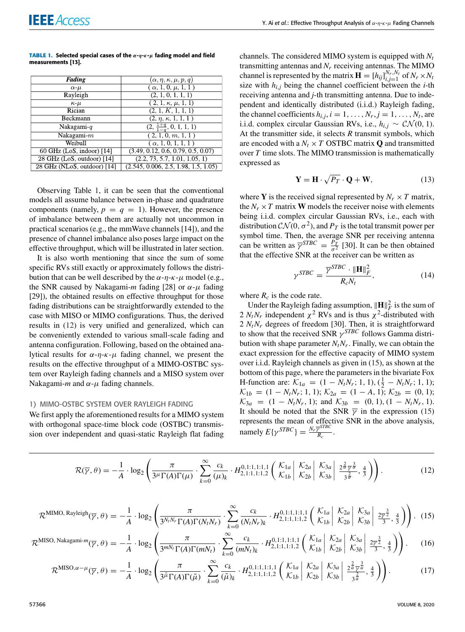| <b>TABLE 1.</b> Selected special cases of the $\alpha$ - $\eta$ - $\kappa$ - $\mu$ fading model and field |  |  |  |
|-----------------------------------------------------------------------------------------------------------|--|--|--|
| measurements [13].                                                                                        |  |  |  |

| Fading                        | $(\alpha, \eta, \kappa, \mu, p, q)$  |
|-------------------------------|--------------------------------------|
| $\alpha$ - $\mu$              | $(\alpha, 1, 0, \mu, 1, 1)$          |
| Rayleigh                      | (2, 1, 0, 1, 1, 1)                   |
| $\kappa$ - $\mu$              | $(2, 1, \kappa, \mu, 1, 1)$          |
| Rician                        | (2, 1, K, 1, 1, 1)                   |
| Beckmann                      | $(2, \eta, \kappa, 1, 1, 1)$         |
| Nakagami- $q$                 | $(2, \frac{1+q}{1-q}, 0, 1, 1, 1)$   |
| Nakagami- $m$                 | $(2, 1, 0, \overline{m}, 1, 1)$      |
| Weibull                       | $(\alpha, 1, 0, 1, 1, 1)$            |
| $60$ GHz (LoS, indoor) [14]   | (3.49, 0.12, 0.6, 0.79, 0.5, 0.07)   |
| 28 GHz (LoS, outdoor) [14]    | (2.2, 73, 5.7, 1.01, 1.05, 1)        |
| $28$ GHz (NLoS, outdoor) [14] | (2.545, 0.006, 2.5, 1.98, 1.5, 1.05) |

Observing Table 1, it can be seen that the conventional models all assume balance between in-phase and quadrature components (namely,  $p = q = 1$ ). However, the presence of imbalance between them are actually not uncommon in practical scenarios (e.g., the mmWave channels [14]), and the presence of channel imbalance also poses large impact on the effective throughput, which will be illustrated in later section.

It is also worth mentioning that since the sum of some specific RVs still exactly or approximately follows the distribution that can be well described by the  $\alpha$ -η-κ- $\mu$  model (e.g., the SNR caused by Nakagami-*m* fading [28] or  $\alpha$ - $\mu$  fading [29]), the obtained results on effective throughput for those fading distributions can be straightforwardly extended to the case with MISO or MIMO configurations. Thus, the derived results in (12) is very unified and generalized, which can be conveniently extended to various small-scale fading and antenna configuration. Following, based on the obtained analytical results for  $\alpha$ -η-κ-μ fading channel, we present the results on the effective throughput of a MIMO-OSTBC system over Rayleigh fading channels and a MISO system over Nakagami-*m* and  $\alpha$ - $\mu$  fading channels.

# 1) MIMO-OSTBC SYSTEM OVER RAYLEIGH FADING

We first apply the aforementioned results for a MIMO system with orthogonal space-time block code (OSTBC) transmission over independent and quasi-static Rayleigh flat fading

channels. The considered MIMO system is equipped with *N<sup>t</sup>* transmitting antennas and  $N_r$  receiving antennas. The MIMO channel is represented by the matrix  $\mathbf{H} = [h_{ij}]_{i,j=1}^{N_r, N_t}$  of  $N_r \times N_t$ size with  $h_{i,j}$  being the channel coefficient between the *i*-th receiving antenna and *j*-th transmitting antenna. Due to independent and identically distributed (i.i.d.) Rayleigh fading, the channel coefficients  $h_{i,j}$ ,  $i = 1, ..., N_r$ ,  $j = 1, ..., N_t$ , are i.i.d. complex circular Gaussian RVs, i.e.,  $h_{i,j} \sim \mathcal{CN}(0, 1)$ . At the transmitter side, it selects *R* transmit symbols, which are encoded with a  $N_t \times T$  OSTBC matrix **Q** and transmitted over *T* time slots. The MIMO transmission is mathematically expressed as

$$
\mathbf{Y} = \mathbf{H} \cdot \sqrt{P_T} \cdot \mathbf{Q} + \mathbf{W},\tag{13}
$$

where **Y** is the received signal represented by  $N_r \times T$  matrix, the  $N_r \times T$  matrix **W** models the receiver noise with elements being i.i.d. complex circular Gaussian RVs, i.e., each with distribution  $\mathcal{CN}(0,\sigma^2),$  and  $P_T$  is the total transmit power per symbol time. Then, the average SNR per receiving antenna can be written as  $\overline{\gamma}^{STBC} = \frac{P_T^2}{c^2}$  $\frac{P_T}{\sigma^2}$  [30]. It can be then obtained that the effective SNR at the receiver can be written as

$$
\gamma^{STBC} = \frac{\overline{\gamma}^{STBC} \cdot \|\mathbf{H}\|_F^2}{R_c N_t},\tag{14}
$$

where  $R_c$  is the code rate.

Under the Rayleigh fading assumption,  $\|\mathbf{H}\|_F^2$  is the sum of 2  $N_t N_r$  independent  $\chi^2$  RVs and is thus  $\chi^2$ -distributed with 2  $N_tN_r$  degrees of freedom [30]. Then, it is straightforward to show that the received SNR  $\gamma^{STBC}$  follows Gamma distribution with shape parameter  $N_tN_r$ . Finally, we can obtain the exact expression for the effective capacity of MIMO system over i.i.d. Rayleigh channels as given in (15), as shown at the bottom of this page, where the parameters in the bivariate Fox H-function are:  $K_{1a} = (1 - N_t N_r; 1, 1), (\frac{1}{2} - N_t N_r; 1, 1);$  $\mathcal{K}_{1b} = (1 - N_t N_r; 1, 1); \mathcal{K}_{2a} = (1 - A, 1); \mathcal{K}_{2b} = (0, 1);$  $\mathcal{K}_{3a} = (1 - N_t N_r, 1);$  and  $\mathcal{K}_{3b} = (0, 1), (1 - N_t N_r, 1).$ It should be noted that the SNR  $\bar{\gamma}$  in the expression (15) represents the mean of effective SNR in the above analysis,  $\text{namely } E\{\gamma^{STBC}\} = \frac{N_r \overline{\gamma}^{STBC}}{R}$  $\frac{R_c}{R_c}$ .

$$
\mathcal{R}(\overline{\gamma},\theta) = -\frac{1}{A} \cdot \log_2\left(\frac{\pi}{3^{\mu} \Gamma(A) \Gamma(\mu)} \cdot \sum_{k=0}^{\infty} \frac{c_k}{(\mu)_k} \cdot H_{2,1:1,1:1,2}^{0,1:1,1:1,1} \left(\begin{array}{c|c} \mathcal{K}_{1a} & \mathcal{K}_{2a} & \mathcal{K}_{3a} \\ \mathcal{K}_{1b} & \mathcal{K}_{2b} & \mathcal{K}_{3b} \end{array} \left| \begin{array}{c} \frac{2}{a} \frac{2}{\overline{\gamma}} \frac{3}{a} \\ \frac{2}{3} \frac{2}{\overline{\gamma}} \frac{3}{a} \end{array} \right| \right). \tag{12}
$$

$$
\mathcal{R}^{\text{MIMO, Rayleigh}}(\overline{\gamma}, \theta) = -\frac{1}{A} \cdot \log_2 \left( \frac{\pi}{3^{N_t N_r} \Gamma(A) \Gamma(N_t N_r)} \cdot \sum_{k=0}^{\infty} \frac{c_k}{(N_t N_r)_k} \cdot H_{2,1:1,1:1,2}^{0,1:1,1:1,1} \left( \begin{array}{c} \mathcal{K}_{1a} \\ \mathcal{K}_{1b} \end{array} \Big| \begin{array}{c} \mathcal{K}_{2a} \\ \mathcal{K}_{2b} \end{array} \Big| \begin{array}{c} \mathcal{K}_{3a} \\ \mathcal{K}_{3b} \end{array} \Big| \begin{array}{c} \frac{2\overline{\gamma}^{\frac{3}{2}}}{3}, \frac{4}{3} \end{array} \right) \right). (15)
$$

$$
\mathcal{R}^{\text{MISO, Nakagami-}m}(\overline{\gamma},\theta) = -\frac{1}{A} \cdot \log_2\left(\frac{\pi}{3^{mN_t}\Gamma(A)\Gamma(mN_t)} \cdot \sum_{k=0}^{\infty} \frac{c_k}{(mN_t)_k} \cdot H_{2,1:1,1:1,2}^{0,1:1,1:1,1} \left(\begin{array}{c|c} \mathcal{K}_{1a} & \mathcal{K}_{2a} & \mathcal{K}_{3a} \\ \mathcal{K}_{2b} & \mathcal{K}_{3b} & \frac{2\overline{\gamma}^{\frac{3}{2}}}{3}, \frac{4}{3} \end{array}\right)\right).
$$
 (16)

$$
\mathcal{R}^{\mathrm{MISO},\alpha-\mu}(\overline{\gamma},\theta) = -\frac{1}{A} \cdot \log_2 \left( \frac{\pi}{3^{\tilde{\mu}} \Gamma(A) \Gamma(\tilde{\mu})} \cdot \sum_{k=0}^{\infty} \frac{c_k}{(\tilde{\mu})_k} \cdot H_{2,1:1,1:1,2}^{0,1:1,1:1,1} \left( \begin{array}{c} \mathcal{K}_{1a} \\ \mathcal{K}_{1b} \end{array} \Big| \begin{array}{c} \mathcal{K}_{2a} \\ \mathcal{K}_{2b} \end{array} \Big| \begin{array}{c} \mathcal{K}_{3a} \\ \mathcal{K}_{3b} \end{array} \Big| \begin{array}{c} \frac{2^{\frac{2}{\tilde{\mu}}}}{3^{\frac{2}{\tilde{\mu}}}} \cdot \frac{4}{3} \end{array} \right) \right). \tag{17}
$$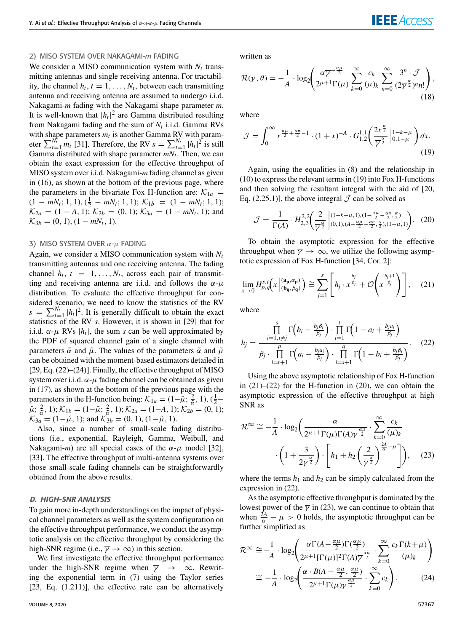# 2) MISO SYSTEM OVER NAKAGAMI-*m* FADING

We consider a MISO communication system with  $N_t$  transmitting antennas and single receiving antenna. For tractability, the channel  $h_t$ ,  $t = 1, \ldots, N_t$ , between each transmitting antenna and receiving antenna are assumed to undergo i.i.d. Nakagami-*m* fading with the Nakagami shape parameter *m*. It is well-known that  $|h_t|^2$  are Gamma distributed resulting from Nakagami fading and the sum of *N<sup>t</sup>* i.i.d. Gamma RVs with shape parameters  $m_t$  is another Gamma RV with parameter  $\sum_{t=1}^{N_t} m_t$  [31]. Therefore, the RV  $s = \sum_{t=1}^{N_t} |h_t|^2$  is still Gamma distributed with shape parameter *mN<sup>t</sup>* . Then, we can obtain the exact expression for the effective throughput of MISO system over i.i.d. Nakagami-*m* fading channel as given in (16), as shown at the bottom of the previous page, where the parameters in the bivariate Fox H-function are:  $K_{1a}$  =  $(1 - mN_t; 1, 1), (\frac{1}{2} - mN_t; 1, 1);$   $\mathcal{K}_{1b} = (1 - mN_t; 1, 1);$  $\mathcal{K}_{2a} = (1 - A, 1); \mathcal{K}_{2b} = (0, 1); \mathcal{K}_{3a} = (1 - mN_t, 1);$  and  $\mathcal{K}_{3b} = (0, 1), (1 - mN_t, 1).$ 

#### 3) MISO SYSTEM OVER  $\alpha$ - $\mu$  FADING

Again, we consider a MISO communication system with *N<sup>t</sup>* transmitting antennas and one receiving antenna. The fading channel  $h_t$ ,  $t = 1, ..., N_t$ , across each pair of transmitting and receiving antenna are i.i.d. and follows the  $\alpha$ - $\mu$ distribution. To evaluate the effective throughput for considered scenario, we need to know the statistics of the RV  $s = \sum_{t=1}^{N_t} |h_t|^2$ . It is generally difficult to obtain the exact statistics of the RV *s*. However, it is shown in [29] that for i.i.d.  $\alpha$ - $\mu$  RVs  $|h_t|$ , the sum *s* can be well approximated by the PDF of squared channel gain of a single channel with parameters  $\tilde{\alpha}$  and  $\tilde{\mu}$ . The values of the parameters  $\tilde{\alpha}$  and  $\tilde{\mu}$ can be obtained with the moment-based estimators detailed in [29, Eq. (22)–(24)]. Finally, the effective throughput of MISO system over i.i.d.  $\alpha$ - $\mu$  fading channel can be obtained as given in (17), as shown at the bottom of the previous page with the parameters in the H-function being:  $\mathcal{K}_{1a} = (1 - \tilde{\mu}; \frac{2}{\tilde{\alpha}}, 1), (\frac{1}{2} \tilde{\mu}$ ;  $\frac{2}{\tilde{\alpha}}$ , 1);  $\mathcal{K}_{1b} = (1 - \tilde{\mu}; \frac{2}{\tilde{\alpha}}, 1)$ ;  $\mathcal{K}_{2a} = (1 - A, 1)$ ;  $\mathcal{K}_{2b} = (0, 1)$ ;  $\mathcal{K}_{3a} = (1 - \tilde{\mu}, 1)$ ; and  $\mathcal{K}_{3b} = (0, 1), (1 - \tilde{\mu}, 1)$ .

Also, since a number of small-scale fading distributions (i.e., exponential, Rayleigh, Gamma, Weibull, and Nakagami-*m*) are all special cases of the  $\alpha$ - $\mu$  model [32], [33]. The effective throughput of multi-antenna systems over those small-scale fading channels can be straightforwardly obtained from the above results.

# D. HIGH-SNR ANALYSIS

To gain more in-depth understandings on the impact of physical channel parameters as well as the system configuration on the effective throughput performance, we conduct the asymptotic analysis on the effective throughput by considering the high-SNR regime (i.e.,  $\overline{\gamma} \rightarrow \infty$ ) in this section.

We first investigate the effective throughput performance under the high-SNR regime when  $\overline{\gamma} \rightarrow \infty$ . Rewriting the exponential term in (7) using the Taylor series [23, Eq. (1.211)], the effective rate can be alternatively

written as

$$
\mathcal{R}(\overline{\gamma}, \theta) = -\frac{1}{A} \cdot \log_2 \left( \frac{\alpha \overline{\gamma}^{-\frac{\alpha \mu}{2}}}{2^{\mu+1} \Gamma(\mu)} \sum_{k=0}^{\infty} \frac{c_k}{(\mu)_k} \sum_{n=0}^{\infty} \frac{3^n \cdot \mathcal{J}}{(2 \overline{\gamma}^{\frac{\alpha}{2}})^n n!} \right),\tag{18}
$$

where

$$
\mathcal{J} = \int_0^\infty x^{\frac{\alpha\mu}{2} + \frac{\alpha n}{2} - 1} \cdot (1+x)^{-A} \cdot G_{1,2}^{1,1} \left( \frac{2x^{\frac{\alpha}{2}}}{\overline{\gamma}^{\frac{\alpha}{2}}} \Big|_{0,1-\mu}^{1-k-\mu} \right) dx.
$$
\n(19)

Again, using the equalities in (8) and the relationship in (10) to express the relevant terms in (19) into Fox H-functions and then solving the resultant integral with the aid of [20, Eq. (2.25.1)], the above integral  $\mathcal J$  can be solved as

$$
\mathcal{J} = \frac{1}{\Gamma(A)} \cdot H_{2,3}^{2,2} \left( \frac{2}{\gamma^{\frac{\alpha}{2}}} \begin{vmatrix} (1-k-\mu,1), (1-\frac{\alpha\mu}{2}-\frac{\alpha n}{2}, \frac{\alpha}{2}) \\ (0,1), (A-\frac{\alpha\mu}{2}-\frac{\alpha n}{2}, \frac{\alpha}{2}), (1-\mu,1) \end{vmatrix} . \tag{20}
$$

To obtain the asymptotic expression for the effective throughput when  $\overline{\gamma} \rightarrow \infty$ , we utilize the following asymptotic expression of Fox H-function [34, Cor. 2]:

$$
\lim_{x \to 0} H_{p,q}^{s,t}\left(x \mid_{(\mathbf{b_q}, \beta_q)}^{(\mathbf{a_p}, \alpha_p)}\right) \cong \sum_{j=1}^s \left[h_j \cdot x^{\frac{b_j}{\beta_j}} + \mathcal{O}\left(x^{\frac{b_j+1}{\beta_j}}\right)\right],\tag{21}
$$

where

$$
h_j = \frac{\prod\limits_{i=1, i \neq j}^s \Gamma\left(b_i - \frac{b_j \beta_i}{\beta_j}\right) \cdot \prod\limits_{i=1}^t \Gamma\left(1 - a_i + \frac{b_j a_i}{\beta_j}\right)}{\beta_j \cdot \prod\limits_{i=t+1}^p \Gamma\left(a_i - \frac{b_j a_i}{\beta_j}\right) \cdot \prod\limits_{i=s+1}^q \Gamma\left(1 - b_i + \frac{b_j \beta_i}{\beta_j}\right)}.
$$
(22)

Using the above asymptotic relationship of Fox H-function in  $(21)$ – $(22)$  for the H-function in  $(20)$ , we can obtain the asymptotic expression of the effective throughput at high SNR as

$$
\mathcal{R}^{\infty} \cong -\frac{1}{A} \cdot \log_2 \left( \frac{\alpha}{2^{\mu+1} \Gamma(\mu) \Gamma(A) \overline{\gamma}^{\frac{\alpha \mu}{2}}} \cdot \sum_{k=0}^{\infty} \frac{c_k}{(\mu)_k} \cdot \left( 1 + \frac{3}{2\overline{\gamma}^{\frac{\alpha}{2}}} \right) \cdot \left[ h_1 + h_2 \left( \frac{2}{\overline{\gamma}^{\frac{\alpha}{2}}} \right)^{\frac{2A}{\alpha} - \mu} \right] \right), \quad (23)
$$

where the terms  $h_1$  and  $h_2$  can be simply calculated from the expression in (22).

As the asymptotic effective throughput is dominated by the lowest power of the  $\bar{\gamma}$  in (23), we can continue to obtain that when  $\frac{2A}{\alpha} - \mu > 0$  holds, the asymptotic throughput can be further simplified as

$$
\mathcal{R}^{\infty} \cong \frac{1}{A} \cdot \log_2 \left( \frac{\alpha \Gamma(A - \frac{\alpha \mu}{2}) \Gamma(\frac{\alpha \mu}{2})}{2^{\mu+1} [\Gamma(\mu)]^2 \Gamma(A) \overline{\gamma}^{\frac{\alpha \mu}{2}}} \cdot \sum_{k=0}^{\infty} \frac{c_k \Gamma(k+\mu)}{(\mu)_k} \right)
$$

$$
\cong -\frac{1}{A} \cdot \log_2 \left( \frac{\alpha \cdot B(A - \frac{\alpha \mu}{2}, \frac{\alpha \mu}{2})}{2^{\mu+1} \Gamma(\mu) \overline{\gamma}^{\frac{\alpha \mu}{2}}} \cdot \sum_{k=0}^{\infty} c_k \right). \tag{24}
$$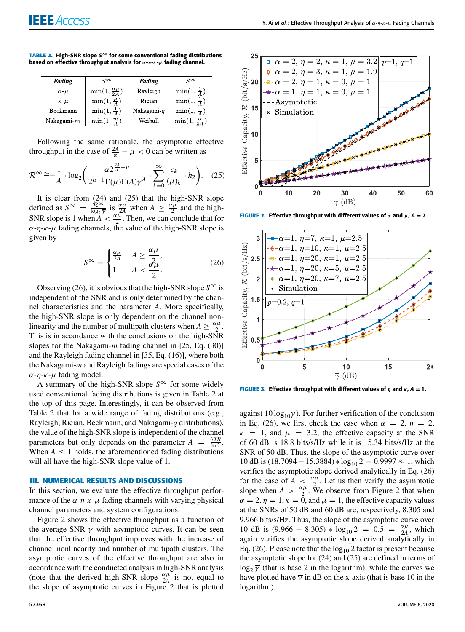| Fading           | $S^{\infty}$                     | Fading        | $S^{\infty}$                 |
|------------------|----------------------------------|---------------|------------------------------|
| $\alpha$ - $\mu$ | $\min(1, \frac{\alpha \mu}{2A})$ | Rayleigh      | $\min(1, \frac{1}{4})$       |
| $\kappa \mu$     | $\min(1,\frac{\mu}{4})$          | Rician        | $\min(1,\frac{1}{4})$        |
| Beckmann         | $\min(1, \frac{1}{4})$           | Nakagami- $q$ | $\min(1, \frac{1}{4})$       |
| Nakagami- $m$    | $\min(1, \frac{m}{4})$           | Weibull       | $\min(1, \frac{\alpha}{24})$ |

**TABLE 2.** High-SNR slope  $S^{\infty}$  for some conventional fading distributions based on effective throughput analysis for  $\alpha$ - $\eta$ - $\kappa$ - $\mu$  fading channel.

Following the same rationale, the asymptotic effective throughput in the case of  $\frac{2A}{\alpha} - \mu < 0$  can be written as

$$
\mathcal{R}^{\infty} \cong -\frac{1}{A} \cdot \log_2 \left( \frac{\alpha 2^{\frac{2A}{\alpha} - \mu}}{2^{\mu + 1} \Gamma(\mu) \Gamma(A) \overline{\gamma}^A} \cdot \sum_{k=0}^{\infty} \frac{c_k}{(\mu)_k} \cdot h_2 \right). \tag{25}
$$

It is clear from (24) and (25) that the high-SNR slope defined as  $S^{\infty} = \frac{\hat{\mathcal{R}}^{\infty}}{\log_{2} \hat{\mathcal{R}}}$  $rac{\mathcal{R}^{\infty}}{\log_2 \overline{\gamma}}$  is  $rac{\alpha \mu}{2A}$  when  $A \geq \frac{\alpha \mu}{2}$  and the high-SNR slope is 1 when  $A < \frac{\alpha \mu}{2}$ . Then, we can conclude that for  $\alpha$ -η-κ-μ fading channels, the value of the high-SNR slope is given by

$$
S^{\infty} = \begin{cases} \frac{\alpha \mu}{2A} & A \ge \frac{\alpha \mu}{2}, \\ 1 & A < \frac{\alpha \mu}{2}. \end{cases} \tag{26}
$$

Observing (26), it is obvious that the high-SNR slope  $S^{\infty}$  is independent of the SNR and is only determined by the channel characteristics and the parameter *A*. More specifically, the high-SNR slope is only dependent on the channel nonlinearity and the number of multipath clusters when  $A \geq \frac{\alpha \mu}{2}$ . This is in accordance with the conclusions on the high-SNR slopes for the Nakagami-*m* fading channel in [25, Eq. (30)] and the Rayleigh fading channel in [35, Eq. (16)], where both the Nakagami-*m* and Rayleigh fadings are special cases of the  $\alpha$ -η-κ- $\mu$  fading model.

A summary of the high-SNR slope  $S^{\infty}$  for some widely used conventional fading distributions is given in Table 2 at the top of this page. Interestingly, it can be observed from Table 2 that for a wide range of fading distributions (e.g., Rayleigh, Rician, Beckmann, and Nakagami-*q* distributions), the value of the high-SNR slope is independent of the channel parameters but only depends on the parameter  $A = \frac{\theta T B}{\ln 2}$ . When  $A \leq 1$  holds, the aforementioned fading distributions will all have the high-SNR slope value of 1.

# **III. NUMERICAL RESULTS AND DISCUSSIONS**

In this section, we evaluate the effective throughput performance of the  $\alpha$ -η-κ- $\mu$  fading channels with varying physical channel parameters and system configurations.

Figure 2 shows the effective throughput as a function of the average SNR  $\bar{\gamma}$  with asymptotic curves. It can be seen that the effective throughput improves with the increase of channel nonlinearity and number of multipath clusters. The asymptotic curves of the effective throughput are also in accordance with the conducted analysis in high-SNR analysis (note that the derived high-SNR slope  $\frac{\alpha \mu}{2A}$  is not equal to the slope of asymptotic curves in Figure 2 that is plotted



**FIGURE 2.** Effective throughput with different values of  $\alpha$  and  $\mu$ ,  $A = 2$ .



**FIGURE 3.** Effective throughput with different values of  $\eta$  and  $\kappa$ ,  $A = 1$ .

against 10 log<sub>10</sub> $\bar{\gamma}$ ). For further verification of the conclusion in Eq. (26), we first check the case when  $\alpha = 2$ ,  $\eta = 2$ ,  $\kappa$  = 1, and  $\mu$  = 3.2, the effective capacity at the SNR of 60 dB is 18.8 bits/s/Hz while it is 15.34 bits/s/Hz at the SNR of 50 dB. Thus, the slope of the asymptotic curve over 10 dB is  $(18.7094 - 15.3884) * log_{10} 2 = 0.9997 \approx 1$ , which verifies the asymptotic slope derived analytically in Eq. (26) for the case of  $A \leq \frac{\alpha \mu}{2}$ . Let us then verify the asymptotic slope when  $A > \frac{\alpha \mu}{2}$ . We observe from Figure 2 that when  $\alpha = 2$ ,  $\eta = 1$ ,  $\kappa = 0$ , and  $\mu = 1$ , the effective capacity values at the SNRs of 50 dB and 60 dB are, respectively, 8.305 and 9.966 bits/s/Hz. Thus, the slope of the asymptotic curve over 10 dB is  $(9.966 - 8.305) * \log_{10} 2 = 0.5 = \frac{\alpha \mu}{24}$ , which again verifies the asymptotic slope derived analytically in Eq. (26). Please note that the  $log_{10} 2$  factor is present because the asymptotic slope for (24) and (25) are defined in terms of  $log_2 \overline{\gamma}$  (that is base 2 in the logarithm), while the curves we have plotted have  $\overline{\gamma}$  in dB on the x-axis (that is base 10 in the logarithm).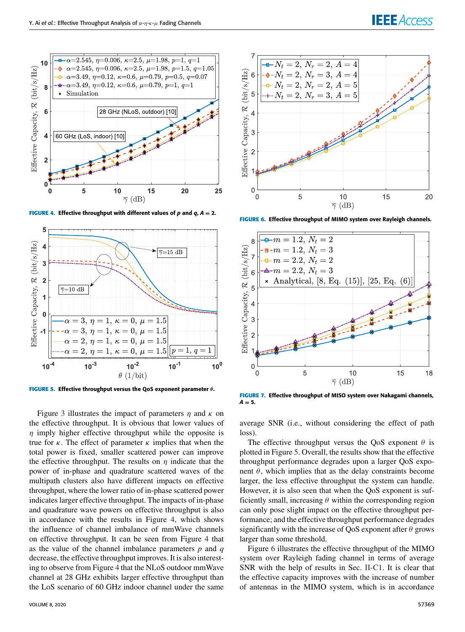# **IEEE** Access



**FIGURE 4.** Effective throughput with different values of p and  $q_i$ ,  $A = 2$ .



**FIGURE 5.** Effective throughput versus the QoS exponent parameter θ.

Figure 3 illustrates the impact of parameters  $\eta$  and  $\kappa$  on the effective throughput. It is obvious that lower values of  $\eta$  imply higher effective throughput while the opposite is true for  $\kappa$ . The effect of parameter  $\kappa$  implies that when the total power is fixed, smaller scattered power can improve the effective throughput. The results on  $\eta$  indicate that the power of in-phase and quadrature scattered waves of the multipath clusters also have different impacts on effective throughput, where the lower ratio of in-phase scattered power indicates larger effective throughput. The impacts of in-phase and quadrature wave powers on effective throughput is also in accordance with the results in Figure 4, which shows the influence of channel imbalance of mmWave channels on effective throughput. It can be seen from Figure 4 that as the value of the channel imbalance parameters *p* and *q* decrease, the effective throughput improves. It is also interesting to observe from Figure 4 that the NLoS outdoor mmWave channel at 28 GHz exhibits larger effective throughput than the LoS scenario of 60 GHz indoor channel under the same



**FIGURE 6.** Effective throughput of MIMO system over Rayleigh channels.



**FIGURE 7.** Effective throughput of MISO system over Nakagami channels,  $A = 5$ .

average SNR (i.e., without considering the effect of path loss).

The effective throughput versus the QoS exponent  $\theta$  is plotted in Figure 5. Overall, the results show that the effective throughput performance degrades upon a larger QoS exponent  $\theta$ , which implies that as the delay constraints become larger, the less effective throughput the system can handle. However, it is also seen that when the QoS exponent is sufficiently small, increasing  $\theta$  within the corresponding region can only pose slight impact on the effective throughput performance; and the effective throughput performance degrades significantly with the increase of QoS exponent after  $\theta$  grows larger than some threshold.

Figure 6 illustrates the effective throughput of the MIMO system over Rayleigh fading channel in terms of average SNR with the help of results in Sec. II-C1. It is clear that the effective capacity improves with the increase of number of antennas in the MIMO system, which is in accordance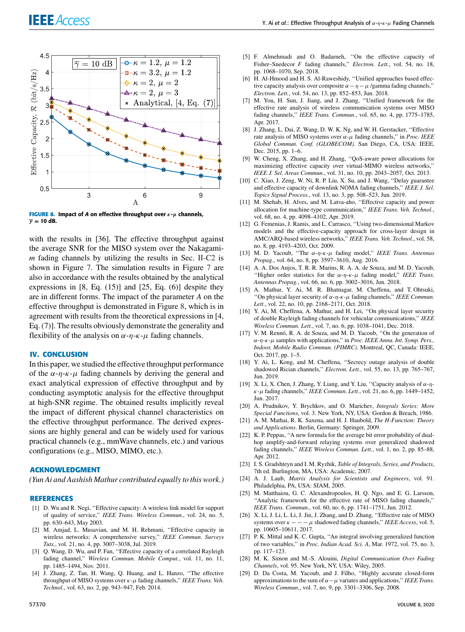

**FIGURE 8.** Impact of A on effective throughput over  $\kappa$ - $\mu$  channels,  $\overline{v}$  = 10 dB.

with the results in [36]. The effective throughput against the average SNR for the MISO system over the Nakagami*m* fading channels by utilizing the results in Sec. II-C2 is shown in Figure 7. The simulation results in Figure 7 are also in accordance with the results obtained by the analytical expressions in  $[8, Eq. (15)]$  and  $[25, Eq. (6)]$  despite they are in different forms. The impact of the parameter *A* on the effective throughput is demonstrated in Figure 8, which is in agreement with results from the theoretical expressions in [4, Eq. (7)]. The results obviously demonstrate the generality and flexibility of the analysis on  $\alpha$ -η-κ- $\mu$  fading channels.

# **IV. CONCLUSION**

In this paper, we studied the effective throughput performance of the  $\alpha$ -η-κ- $\mu$  fading channels by deriving the general and exact analytical expression of effective throughput and by conducting asymptotic analysis for the effective throughput at high-SNR regime. The obtained results implicitly reveal the impact of different physical channel characteristics on the effective throughput performance. The derived expressions are highly general and can be widely used for various practical channels (e.g., mmWave channels, etc.) and various configurations (e.g., MISO, MIMO, etc.).

# **ACKNOWLEDGMENT**

*(Yun Ai and Aashish Mathur contributed equally to this work.)*

#### **REFERENCES**

- [1] D. Wu and R. Negi, ''Effective capacity: A wireless link model for support of quality of service,'' *IEEE Trans. Wireless Commun.*, vol. 24, no. 5, pp. 630–643, May 2003.
- [2] M. Amjad, L. Musavian, and M. H. Rehmani, ''Effective capacity in wireless networks: A comprehensive survey,'' *IEEE Commun. Surveys Tuts.*, vol. 21, no. 4, pp. 3007–3038, Jul. 2019.
- [3] Q. Wang, D. Wu, and P. Fan, "Effective capacity of a correlated Rayleigh fading channel,'' *Wireless Commun. Mobile Comput.*, vol. 11, no. 11, pp. 1485–1494, Nov. 2011.
- [4] J. Zhang, Z. Tan, H. Wang, Q. Huang, and L. Hanzo, ''The effective throughput of MISO systems over κ-µ fading channels,'' *IEEE Trans. Veh. Technol.*, vol. 63, no. 2, pp. 943–947, Feb. 2014.
- [5] F. Almehmadi and O. Badarneh, ''On the effective capacity of Fisher–Snedecor *F* fading channels," *Electron. Lett.*, vol. 54, no. 18, pp. 1068–1070, Sep. 2018.
- [6] H. Al-Hmood and H. S. Al-Raweshidy, "Unified approaches based effective capacity analysis over composite  $\alpha - \eta - \mu$  /gamma fading channels," *Electron. Lett.*, vol. 54, no. 13, pp. 852–853, Jun. 2018.
- [7] M. You, H. Sun, J. Jiang, and J. Zhang, ''Unified framework for the effective rate analysis of wireless communication systems over MISO fading channels,'' *IEEE Trans. Commun.*, vol. 65, no. 4, pp. 1775–1785, Apr. 2017.
- [8] J. Zhang, L. Dai, Z. Wang, D. W. K. Ng, and W. H. Gerstacker, ''Effective rate analysis of MISO systems over α-µ fading channels,'' in *Proc. IEEE Global Commun. Conf. (GLOBECOM)*. San Diego, CA, USA: IEEE, Dec. 2015, pp. 1–6.
- [9] W. Cheng, X. Zhang, and H. Zhang, "QoS-aware power allocations for maximizing effective capacity over virtual-MIMO wireless networks,'' *IEEE J. Sel. Areas Commun.*, vol. 31, no. 10, pp. 2043–2057, Oct. 2013.
- [10] C. Xiao, J. Zeng, W. Ni, R. P. Liu, X. Su, and J. Wang, ''Delay guarantee and effective capacity of downlink NOMA fading channels,'' *IEEE J. Sel. Topics Signal Process.*, vol. 13, no. 3, pp. 508–523, Jun. 2019.
- [11] M. Shehab, H. Alves, and M. Latva-aho, "Effective capacity and power allocation for machine-type communication,'' *IEEE Trans. Veh. Technol.*, vol. 68, no. 4, pp. 4098–4102, Apr. 2019.
- [12] G. Femenias, J. Ramis, and L. Carrasco, ''Using two-dimensional Markov models and the effective-capacity approach for cross-layer design in AMC/ARQ-based wireless networks,'' *IEEE Trans. Veh. Technol.*, vol. 58, no. 8, pp. 4193–4203, Oct. 2009.
- [13] M. D. Yacoub, ''The α-η-κ-µ fading model,'' *IEEE Trans. Antennas Propag.*, vol. 64, no. 8, pp. 3597–3610, Aug. 2016.
- [14] A. A. Dos Anjos, T. R. R. Marins, R. A. A. de Souza, and M. D. Yacoub, ''Higher order statistics for the α-η-κ-µ fading model,'' *IEEE Trans. Antennas Propag.*, vol. 66, no. 6, pp. 3002–3016, Jun. 2018.
- [15] A. Mathur, Y. Ai, M. R. Bhatnagar, M. Cheffena, and T. Ohtsuki, "On physical layer security of  $\alpha$ -η-κ-μ fading channels," *IEEE Commun. Lett.*, vol. 22, no. 10, pp. 2168–2171, Oct. 2018.
- [16] Y. Ai, M. Cheffena, A. Mathur, and H. Lei, "On physical layer security of double Rayleigh fading channels for vehicular communications,'' *IEEE Wireless Commun. Lett.*, vol. 7, no. 6, pp. 1038–1041, Dec. 2018.
- [17] V. M. Rennó, R. A. de Souza, and M. D. Yacoub, "On the generation of α-η-κ-µ samples with applications,'' in *Proc. IEEE Annu. Int. Symp. Pers., Indoor, Mobile Radio Commun. (PIMRC)*. Montreal, QC, Canada: IEEE, Oct. 2017, pp. 1–5.
- [18] Y. Ai, L. Kong, and M. Cheffena, "Secrecy outage analysis of double shadowed Rician channels,'' *Electron. Lett.*, vol. 55, no. 13, pp. 765–767, Jun. 2019.
- [19] X. Li, X. Chen, J. Zhang, Y. Liang, and Y. Liu, "Capacity analysis of  $\alpha$ - $\eta$ κ-µ fading channels,'' *IEEE Commun. Lett.*, vol. 21, no. 6, pp. 1449–1452, Jun. 2017.
- [20] A. Prudnikov, Y. Brychkov, and O. Marichev, *Integrals Series: More Special Functions*, vol. 3. New York, NY, USA: Gordon & Breach, 1986.
- [21] A. M. Mathai, R. K. Saxena, and H. J. Haubold, *The H-Function: Theory and Applications*. Berlin, Germany: Springer, 2009.
- [22] K. P. Peppas, ''A new formula for the average bit error probability of dualhop amplify-and-forward relaying systems over generalized shadowed fading channels,'' *IEEE Wireless Commun. Lett.*, vol. 1, no. 2, pp. 85–88, Apr. 2012.
- [23] I. S. Gradshteyn and I. M. Ryzhik, *Table of Integrals, Series, and Products*, 7th ed. Burlington, MA, USA: Academic, 2007.
- [24] A. J. Laub, *Matrix Analysis for Scientists and Engineers*, vol. 91. Philadelphia, PA, USA: SIAM, 2005.
- [25] M. Matthaiou, G. C. Alexandropoulos, H. Q. Ngo, and E. G. Larsson, ''Analytic framework for the effective rate of MISO fading channels,'' *IEEE Trans. Commun.*, vol. 60, no. 6, pp. 1741–1751, Jun. 2012.
- [26] X. Li, J. Li, L. Li, J. Jin, J. Zhang, and D. Zhang, ''Effective rate of MISO systems over  $\kappa$  – – –  $\mu$  shadowed fading channels," *IEEE Access*, vol. 5, pp. 10605–10611, 2017.
- [27] P. K. Mittal and K. C. Gupta, "An integral involving generalized function of two variables,'' in *Proc. Indian Acad. Sci. A*, Mar. 1972, vol. 75, no. 3, pp. 117–123.
- [28] M. K. Simon and M.-S. Alouini, *Digital Communication Over Fading Channels*, vol. 95. New York, NY, USA: Wiley, 2005.
- [29] D. Da Costa, M. Yacoub, and J. Filho, "Highly accurate closed-form approximations to the sum of  $\alpha - \mu$  variates and applications," *IEEE Trans. Wireless Commun.*, vol. 7, no. 9, pp. 3301–3306, Sep. 2008.